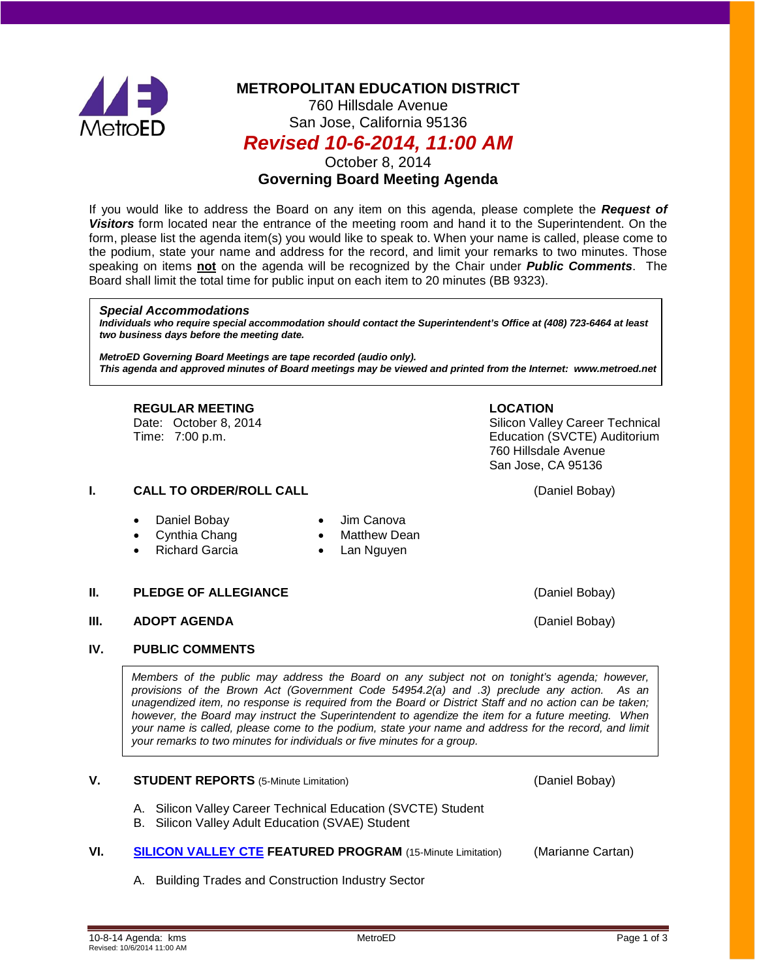

# **METROPOLITAN EDUCATION DISTRICT**

760 Hillsdale Avenue San Jose, California 95136

## *Revised 10-6-2014, 11:00 AM*

October 8, 2014

## **Governing Board Meeting Agenda**

If you would like to address the Board on any item on this agenda, please complete the *Request of Visitors* form located near the entrance of the meeting room and hand it to the Superintendent. On the form, please list the agenda item(s) you would like to speak to. When your name is called, please come to the podium, state your name and address for the record, and limit your remarks to two minutes. Those speaking on items **not** on the agenda will be recognized by the Chair under *Public Comments*. The Board shall limit the total time for public input on each item to 20 minutes (BB 9323).

#### *Special Accommodations*

*Individuals who require special accommodation should contact the Superintendent's Office at (408) 723-6464 at least two business days before the meeting date.*

*MetroED Governing Board Meetings are tape recorded (audio only). This agenda and approved minutes of Board meetings may be viewed and printed from the Internet: www.metroed.net*

**REGULAR MEETING LOCATION**<br>
Date: October 8, 2014 **COLOR** 

## **I. CALL TO ORDER/ROLL CALL CALL CALL CALL CALL CALL CALL CALL CALL CALL CALL CALL CALL CALL CALL CALL CALL CALL CALL CALL CALL CALL CALL CALL CALL CALL CALL CALL C**

- Daniel Bobay Jim Canova
- 
- 
- Cynthia Chang **•** Matthew Dean
- Richard Garcia Lan Nguyen

## **II. PLEDGE OF ALLEGIANCE CONSIDERING (Daniel Bobay)**

#### **III. ADOPT AGENDA** (Daniel Bobay)

#### **IV. PUBLIC COMMENTS**

*Members of the public may address the Board on any subject not on tonight's agenda; however, provisions of the Brown Act (Government Code 54954.2(a) and .3) preclude any action. As an unagendized item, no response is required from the Board or District Staff and no action can be taken; however, the Board may instruct the Superintendent to agendize the item for a future meeting. When your name is called, please come to the podium, state your name and address for the record, and limit your remarks to two minutes for individuals or five minutes for a group.*

#### **V. STUDENT REPORTS** (5-Minute Limitation) **COMING A CONSTRUSTED BOBAY** (Daniel Bobay)

- A. Silicon Valley Career Technical Education (SVCTE) Student
- B. Silicon Valley Adult Education (SVAE) Student
- **VI. [SILICON VALLEY CTE](http://fbsd.metroed.net/ksmith/Board_Agenda/10-08-14BoardAgenda/XI.pdf) FEATURED PROGRAM** (15-Minute Limitation) (Marianne Cartan)
	- A. Building Trades and Construction Industry Sector

Silicon Valley Career Technical Time: 7:00 p.m. Education (SVCTE) Auditorium 760 Hillsdale Avenue San Jose, CA 95136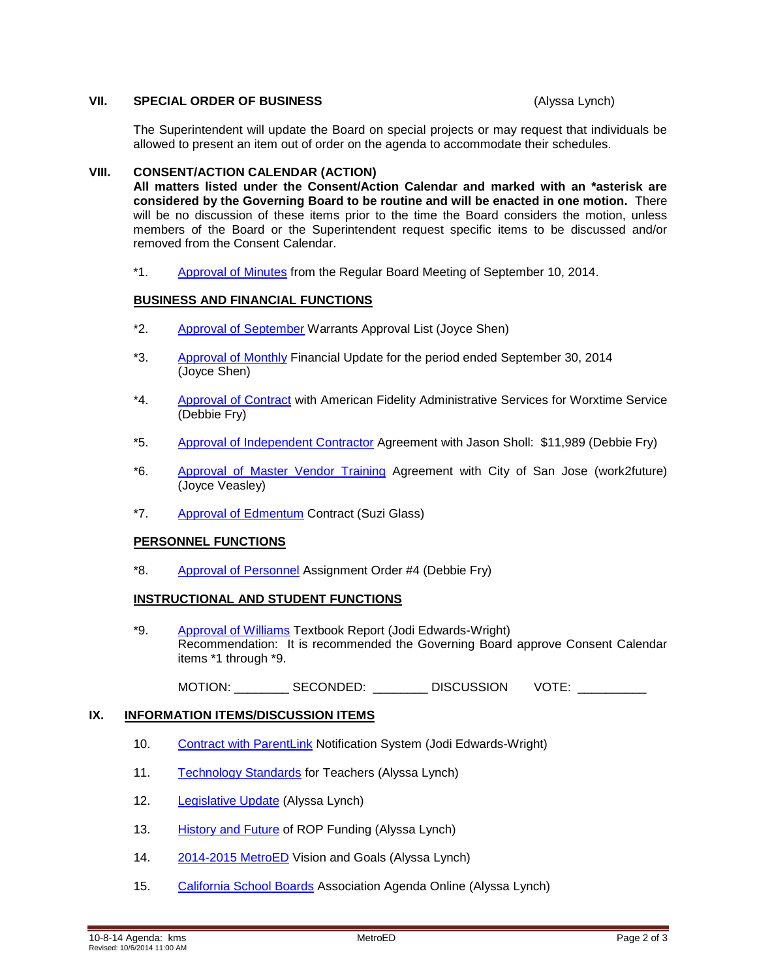#### **VII. SPECIAL ORDER OF BUSINESS** (Alyssa Lynch)

The Superintendent will update the Board on special projects or may request that individuals be allowed to present an item out of order on the agenda to accommodate their schedules.

#### **VIII. CONSENT/ACTION CALENDAR (ACTION)**

**All matters listed under the Consent/Action Calendar and marked with an \*asterisk are considered by the Governing Board to be routine and will be enacted in one motion.** There will be no discussion of these items prior to the time the Board considers the motion, unless members of the Board or the Superintendent request specific items to be discussed and/or removed from the Consent Calendar.

\*1. [Approval of Minutes](http://fbsd.metroed.net/ksmith/Board_Agenda/10-08-14BoardAgenda/Item-01_09-10-14BoardMinutes.pdf) from the Regular Board Meeting of September 10, 2014.

#### **BUSINESS AND FINANCIAL FUNCTIONS**

- \*2. [Approval of September](http://fbsd.metroed.net/ksmith/Board_Agenda/10-08-14BoardAgenda/Item-02.pdf) Warrants Approval List (Joyce Shen)
- \*3. [Approval of Monthly](http://fbsd.metroed.net/ksmith/Board_Agenda/10-08-14BoardAgenda/Item-03.pdf) Financial Update for the period ended September 30, 2014 (Joyce Shen)
- \*4. [Approval of Contract](http://fbsd.metroed.net/ksmith/Board_Agenda/10-08-14BoardAgenda/Item-04.pdf) with American Fidelity Administrative Services for Worxtime Service (Debbie Fry)
- \*5. [Approval of Independent Contractor](http://fbsd.metroed.net/ksmith/Board_Agenda/10-08-14BoardAgenda/Item-05.pdf) Agreement with Jason Sholl: \$11,989 (Debbie Fry)
- \*6. [Approval of Master Vendor Training](http://fbsd.metroed.net/ksmith/Board_Agenda/10-08-14BoardAgenda/Item-06.pdf) Agreement with City of San Jose (work2future) (Joyce Veasley)
- \*7. [Approval of Edmentum](http://fbsd.metroed.net/ksmith/Board_Agenda/10-08-14BoardAgenda/Item-07.pdf) Contract (Suzi Glass)

#### **PERSONNEL FUNCTIONS**

\*8. [Approval of Personnel](http://fbsd.metroed.net/ksmith/Board_Agenda/10-08-14BoardAgenda/Item-08.pdf) Assignment Order #4 (Debbie Fry)

#### **INSTRUCTIONAL AND STUDENT FUNCTIONS**

\*9. [Approval of Williams](http://fbsd.metroed.net/ksmith/Board_Agenda/10-08-14BoardAgenda/Item-09.pdf) Textbook Report (Jodi Edwards-Wright) Recommendation: It is recommended the Governing Board approve Consent Calendar items \*1 through \*9.

MOTION: SECONDED: DISCUSSION VOTE:

#### **IX. INFORMATION ITEMS/DISCUSSION ITEMS**

- 10. [Contract with ParentLink](http://fbsd.metroed.net/ksmith/Board_Agenda/10-08-14BoardAgenda/Item-10.pdf) Notification System (Jodi Edwards-Wright)
- 11. [Technology Standards](http://fbsd.metroed.net/ksmith/Board_Agenda/10-08-14BoardAgenda/Item-11.pdf) for Teachers (Alyssa Lynch)
- 12. [Legislative Update](http://fbsd.metroed.net/ksmith/Board_Agenda/10-08-14BoardAgenda/Item-12.pdf) (Alyssa Lynch)
- 13. [History and Future](http://fbsd.metroed.net/ksmith/Board_Agenda/10-08-14BoardAgenda/Item-13.pdf) of ROP Funding (Alyssa Lynch)
- 14. [2014-2015 MetroED](http://fbsd.metroed.net/ksmith/Board_Agenda/10-08-14BoardAgenda/Item-14.pdf) Vision and Goals (Alyssa Lynch)
- 15. [California School Boards](http://fbsd.metroed.net/ksmith/Board_Agenda/10-08-14BoardAgenda/Item-15.pdf) Association Agenda Online (Alyssa Lynch)